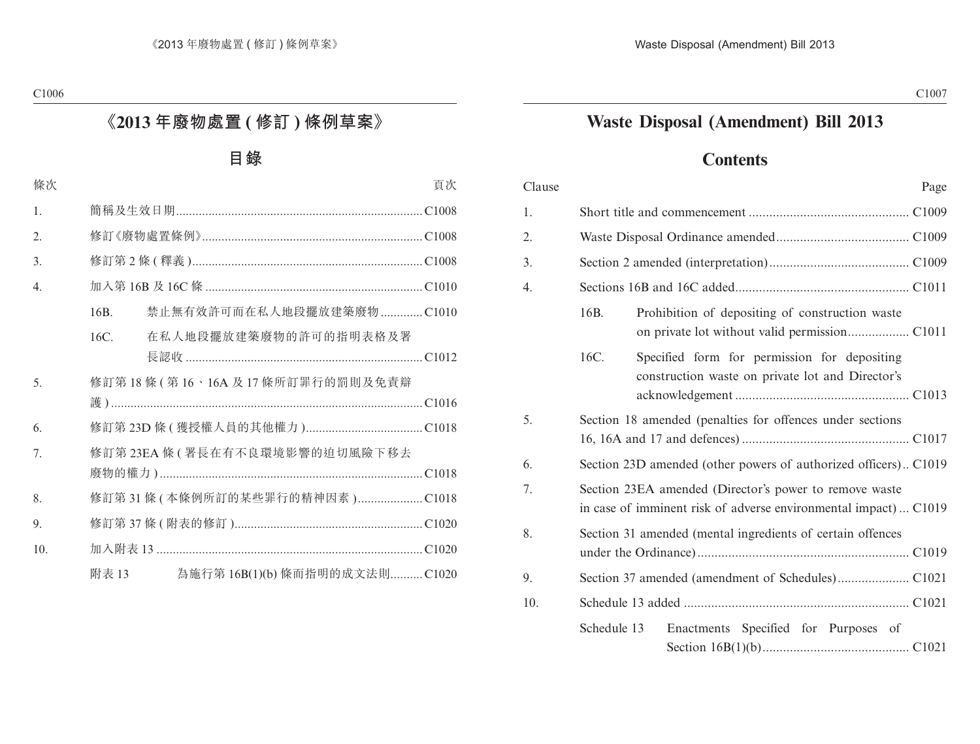## **Waste Disposal (Amendment) Bill 2013**

### **Contents**

| Clause | Page                                                                                                                       |  |
|--------|----------------------------------------------------------------------------------------------------------------------------|--|
| 1.     |                                                                                                                            |  |
| 2.     |                                                                                                                            |  |
| 3.     |                                                                                                                            |  |
| 4.     |                                                                                                                            |  |
|        | 16B.<br>Prohibition of depositing of construction waste                                                                    |  |
|        | 16C.<br>Specified form for permission for depositing<br>construction waste on private lot and Director's                   |  |
| 5.     | Section 18 amended (penalties for offences under sections                                                                  |  |
| 6.     | Section 23D amended (other powers of authorized officers)C1019                                                             |  |
| 7.     | Section 23EA amended (Director's power to remove waste<br>in case of imminent risk of adverse environmental impact)  C1019 |  |
| 8.     | Section 31 amended (mental ingredients of certain offences                                                                 |  |
| 9.     |                                                                                                                            |  |
| 10.    |                                                                                                                            |  |
|        | Schedule 13<br>Enactments Specified for Purposes of                                                                        |  |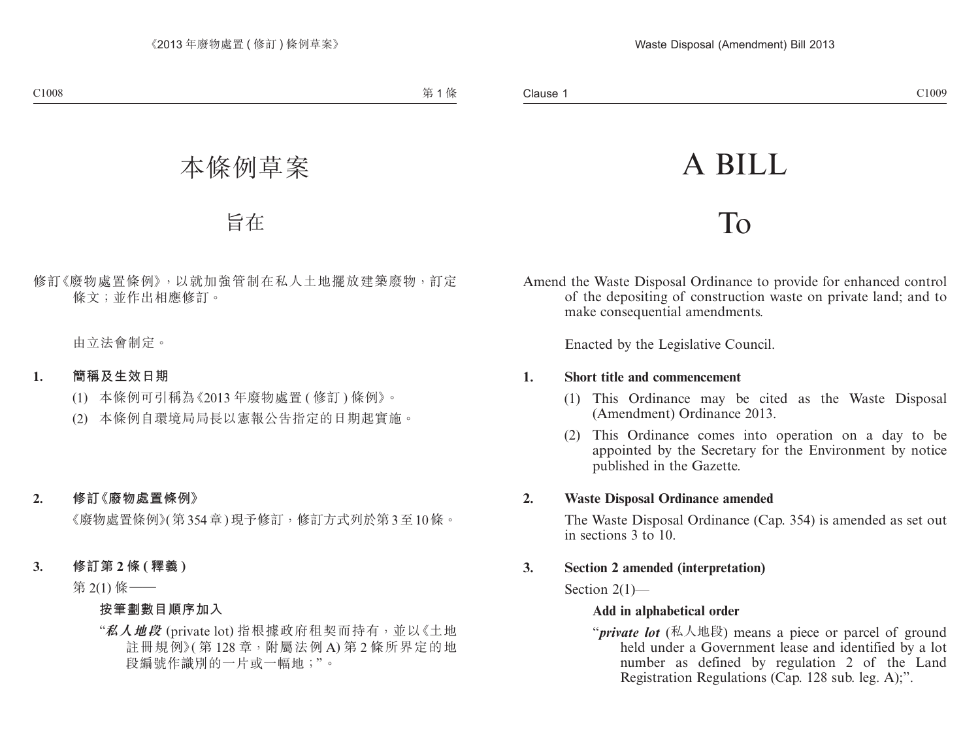# A BILL

## To

Amend the Waste Disposal Ordinance to provide for enhanced control of the depositing of construction waste on private land; and to make consequential amendments.

Enacted by the Legislative Council.

#### **1. Short title and commencement**

- (1) This Ordinance may be cited as the Waste Disposal (Amendment) Ordinance 2013.
- (2) This Ordinance comes into operation on a day to be appointed by the Secretary for the Environment by notice published in the Gazette.

#### **2. Waste Disposal Ordinance amended**

The Waste Disposal Ordinance (Cap. 354) is amended as set out in sections 3 to 10.

#### **3. Section 2 amended (interpretation)**

Section  $2(1)$ —

#### **Add in alphabetical order**

"*private lot* (私人地段) means a piece or parcel of ground held under a Government lease and identified by a lot number as defined by regulation 2 of the Land Registration Regulations (Cap. 128 sub. leg. A);".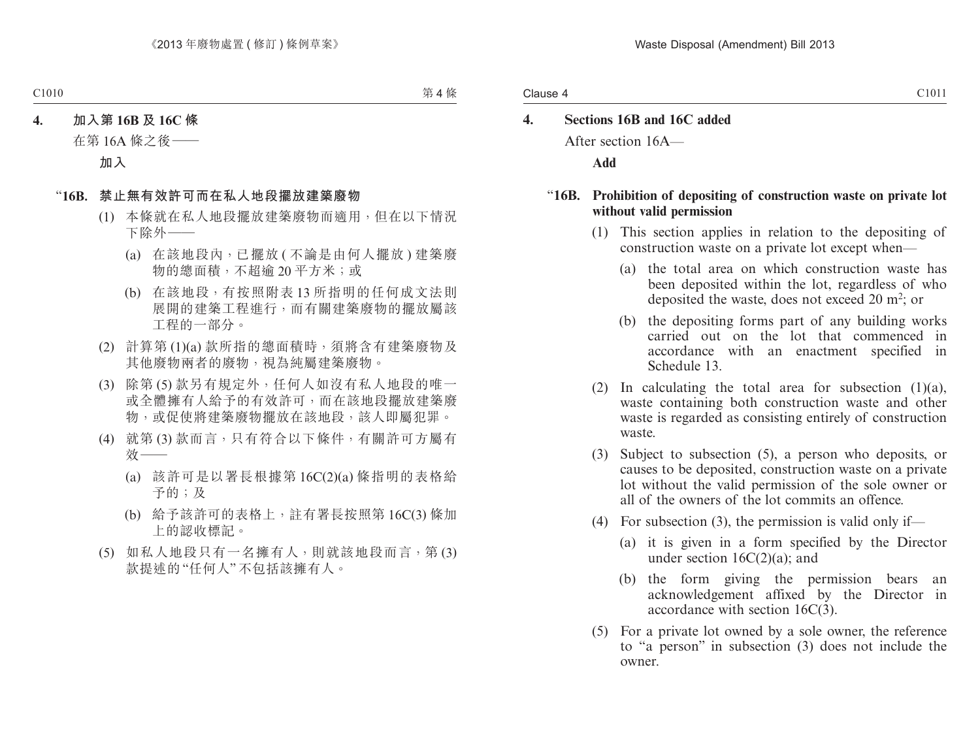#### Clause 4

## **4. Sections 16B and 16C added**

After section 16A—

**Add**

#### "**16B. Prohibition of depositing of construction waste on private lot without valid permission**

- (1) This section applies in relation to the depositing of construction waste on a private lot except when—
	- (a) the total area on which construction waste has been deposited within the lot, regardless of who deposited the waste, does not exceed  $20 \text{ m}^2$ ; or
	- (b) the depositing forms part of any building works carried out on the lot that commenced in accordance with an enactment specified in Schedule 13.
- (2) In calculating the total area for subsection  $(1)(a)$ , waste containing both construction waste and other waste is regarded as consisting entirely of construction waste.
- (3) Subject to subsection (5), a person who deposits, or causes to be deposited, construction waste on a private lot without the valid permission of the sole owner or all of the owners of the lot commits an offence.
- (4) For subsection (3), the permission is valid only if—
	- (a) it is given in a form specified by the Director under section 16C(2)(a); and
	- (b) the form giving the permission bears an acknowledgement affixed by the Director in accordance with section 16C(3).
- (5) For a private lot owned by a sole owner, the reference to "a person" in subsection (3) does not include the owner.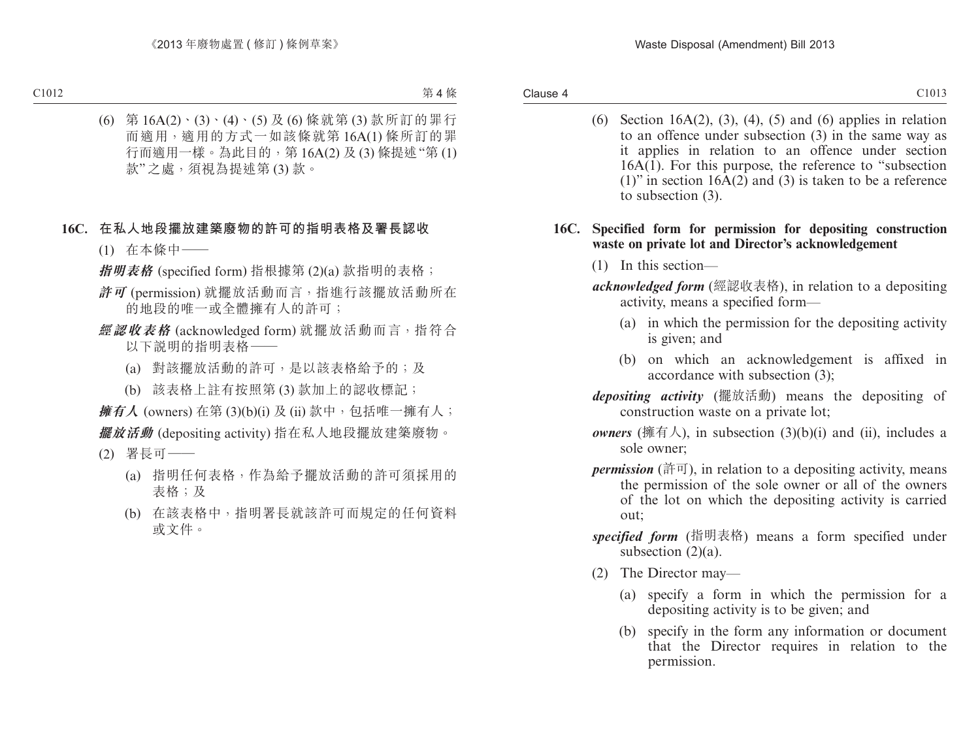(6) Section 16A(2), (3), (4), (5) and (6) applies in relation to an offence under subsection (3) in the same way as it applies in relation to an offence under section  $16A(1)$ . For this purpose, the reference to "subsection" (1)" in section  $16A(2)$  and (3) is taken to be a reference to subsection (3).

#### **16C. Specified form for permission for depositing construction waste on private lot and Director's acknowledgement**

- (1) In this section—
- *acknowledged form* (經認收表格), in relation to a depositing activity, means a specified form—
	- (a) in which the permission for the depositing activity is given; and
	- (b) on which an acknowledgement is affixed in accordance with subsection (3);
- *depositing activity* (擺放活動) means the depositing of construction waste on a private lot;
- *owners* (擁有人), in subsection  $(3)(b)(i)$  and (ii), includes a sole owner;
- *permission* (許可), in relation to a depositing activity, means the permission of the sole owner or all of the owners of the lot on which the depositing activity is carried out;
- *specified form* (指明表格) means a form specified under subsection (2)(a).
- (2) The Director may—
	- (a) specify a form in which the permission for a depositing activity is to be given; and
	- (b) specify in the form any information or document that the Director requires in relation to the permission.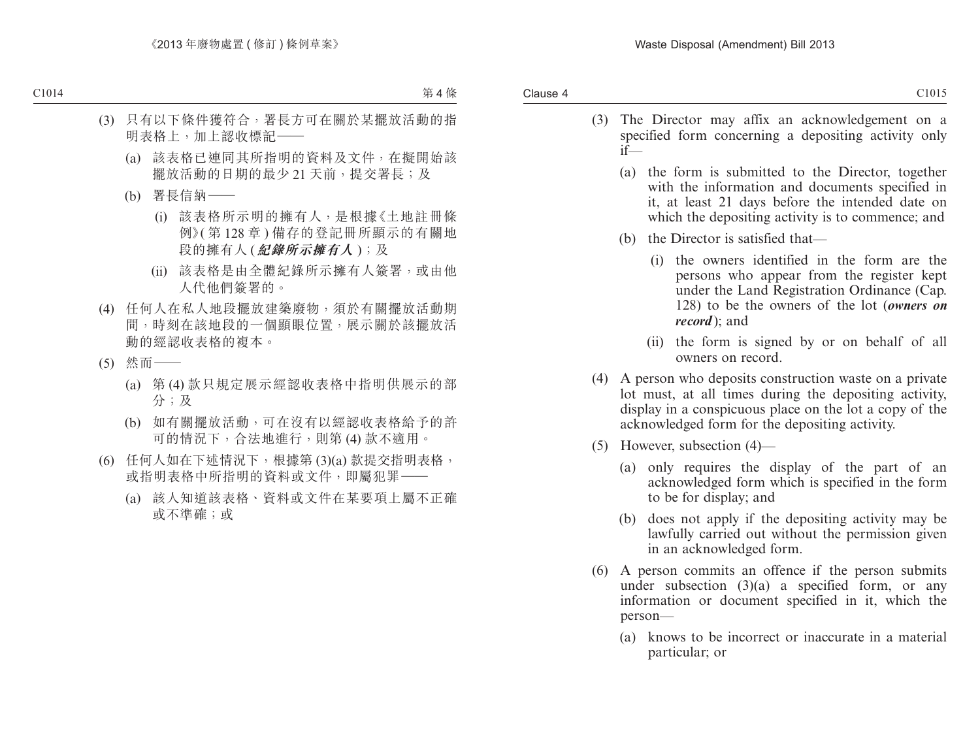- (3) The Director may affix an acknowledgement on a specified form concerning a depositing activity only if—
	- (a) the form is submitted to the Director, together with the information and documents specified in it, at least 21 days before the intended date on which the depositing activity is to commence; and
	- (b) the Director is satisfied that—
		- (i) the owners identified in the form are the persons who appear from the register kept under the Land Registration Ordinance (Cap. 128) to be the owners of the lot (*owners on record* ); and
		- (ii) the form is signed by or on behalf of all owners on record.
- (4) A person who deposits construction waste on a private lot must, at all times during the depositing activity, display in a conspicuous place on the lot a copy of the acknowledged form for the depositing activity.
- (5) However, subsection (4)—
	- (a) only requires the display of the part of an acknowledged form which is specified in the form to be for display; and
	- (b) does not apply if the depositing activity may be lawfully carried out without the permission given in an acknowledged form.
- (6) A person commits an offence if the person submits under subsection  $(3)(a)$  a specified form, or any information or document specified in it, which the person—
	- (a) knows to be incorrect or inaccurate in a material particular; or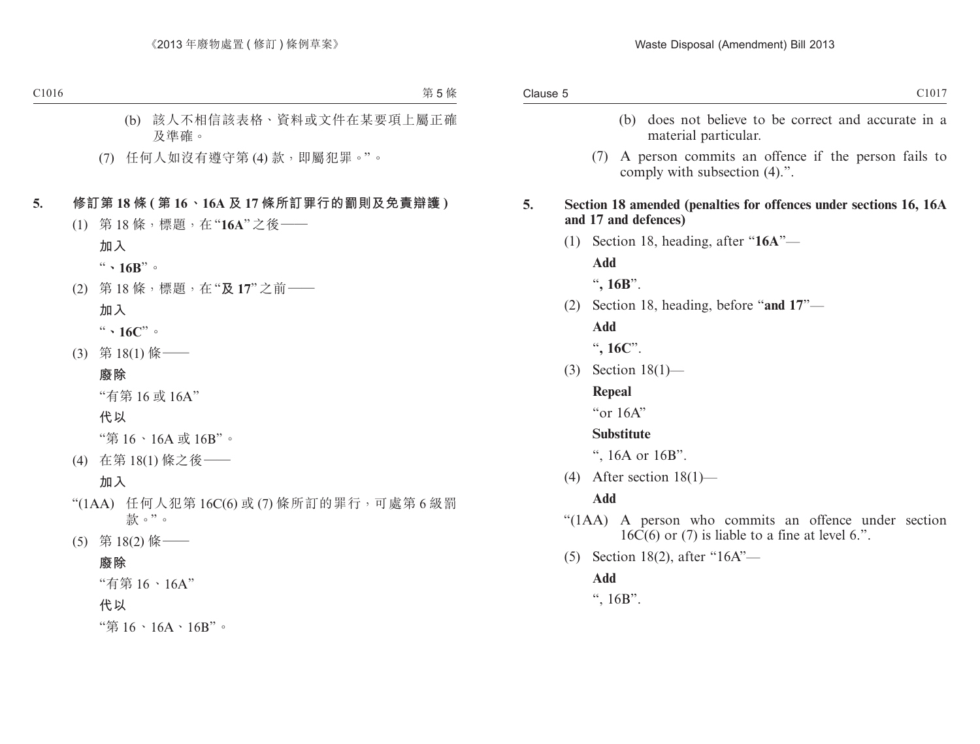- (b) does not believe to be correct and accurate in a material particular.
- (7) A person commits an offence if the person fails to comply with subsection (4).".

#### **5. Section 18 amended (penalties for offences under sections 16, 16A and 17 and defences)**

(1) Section 18, heading, after "**16A**"—

**Add**

"**, 16B**".

(2) Section 18, heading, before "**and 17**"—

**Add**

"**, 16C**".

(3) Section 18(1)—

#### **Repeal**

"or 16A"

#### **Substitute**

", 16A or 16B".

(4) After section  $18(1)$ —

#### **Add**

- "(1AA) A person who commits an offence under section  $16\overline{C}(6)$  or (7) is liable to a fine at level 6.".
- (5) Section 18(2), after "16A"—

#### **Add**

",  $16B$ ".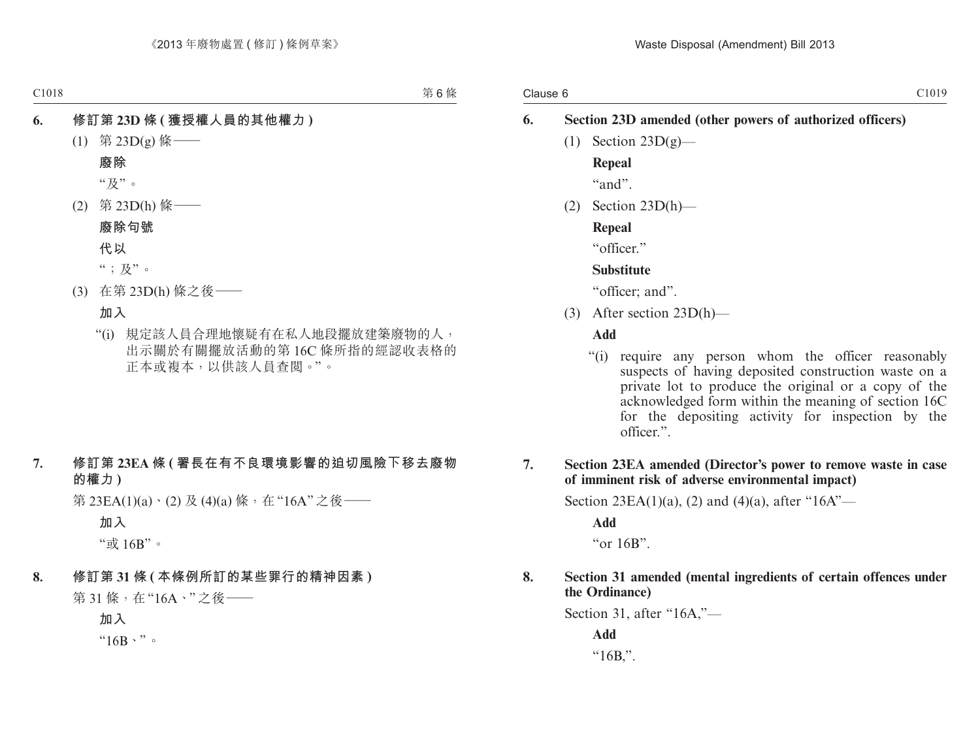## **6. Section 23D amended (other powers of authorized officers)** (1) Section  $23D(g)$ — **Repeal**

 $"and"$ 

(2) Section 23D(h)—

**Repeal**

"officer"

#### **Substitute**

"officer; and".

(3) After section 23D(h)—

#### **Add**

"(i) require any person whom the officer reasonably suspects of having deposited construction waste on a private lot to produce the original or a copy of the acknowledged form within the meaning of section 16C for the depositing activity for inspection by the officer.".

#### **7. Section 23EA amended (Director's power to remove waste in case of imminent risk of adverse environmental impact)**

Section 23EA(1)(a), (2) and (4)(a), after "16A"—

**Add**

"or 16B".

#### **8. Section 31 amended (mental ingredients of certain offences under the Ordinance)**

Section 31, after "16A,"—

**Add**  $"16B."$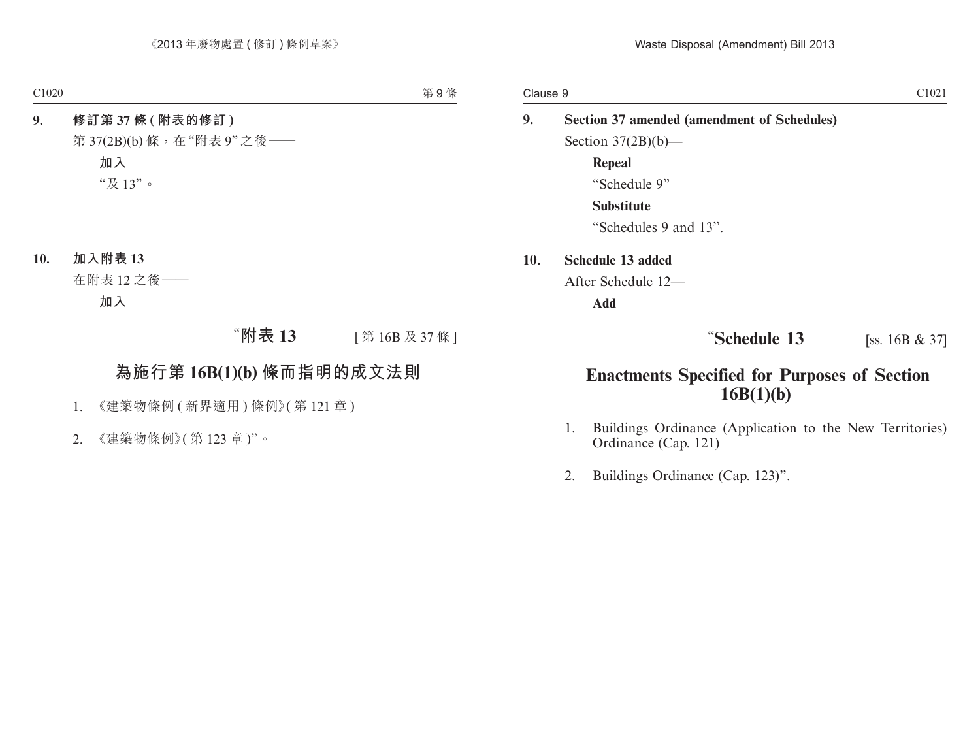**9. Section 37 amended (amendment of Schedules)** Section  $37(2B)(b)$ — **Repeal** "Schedule 9" **Substitute** "Schedules 9 and 13". **10. Schedule 13 added**

After Schedule 12—

**Add**

### **13 16B & 37 16B & 37**

## **Enactments Specified for Purposes of Section 16B(1)(b)**

- 1. Buildings Ordinance (Application to the New Territories) Ordinance (Cap. 121)
- 2. Buildings Ordinance (Cap. 123)".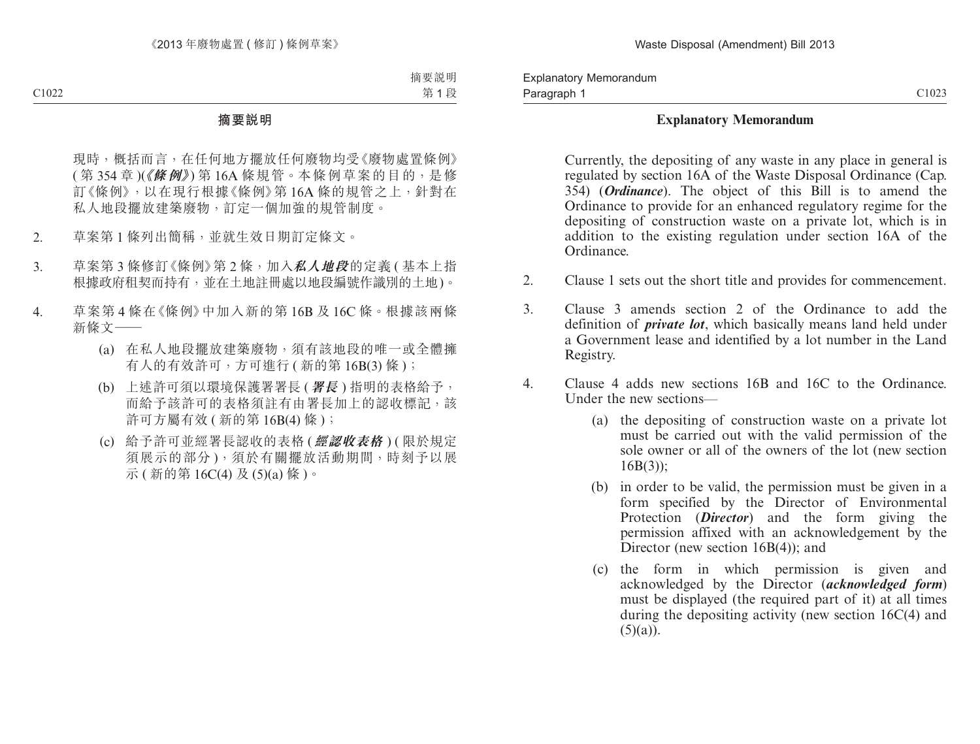#### **Explanatory Memorandum**

Currently, the depositing of any waste in any place in general is regulated by section 16A of the Waste Disposal Ordinance (Cap. 354) (*Ordinance*). The object of this Bill is to amend the Ordinance to provide for an enhanced regulatory regime for the depositing of construction waste on a private lot, which is in addition to the existing regulation under section 16A of the Ordinance.

- 2. Clause 1 sets out the short title and provides for commencement.
- 3. Clause 3 amends section 2 of the Ordinance to add the definition of *private lot*, which basically means land held under a Government lease and identified by a lot number in the Land Registry.
- 4. Clause 4 adds new sections 16B and 16C to the Ordinance. Under the new sections—
	- (a) the depositing of construction waste on a private lot must be carried out with the valid permission of the sole owner or all of the owners of the lot (new section  $16B(3)$ :
	- (b) in order to be valid, the permission must be given in a form specified by the Director of Environmental Protection (*Director*) and the form giving the permission affixed with an acknowledgement by the Director (new section 16B(4)); and
	- (c) the form in which permission is given and acknowledged by the Director (*acknowledged form*) must be displayed (the required part of it) at all times during the depositing activity (new section 16C(4) and  $(5)(a)$ ).